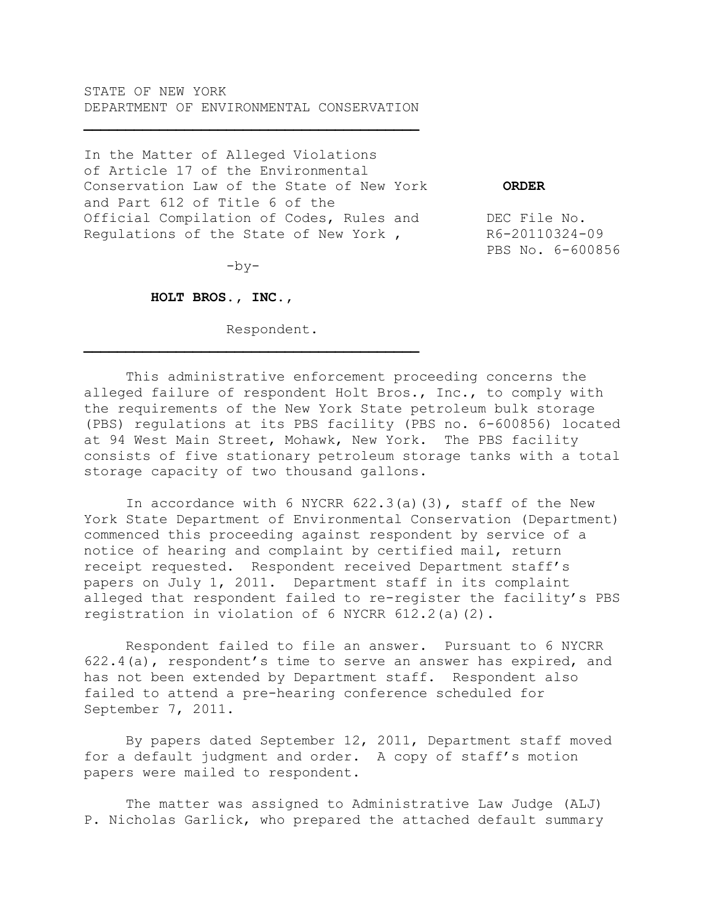STATE OF NEW YORK DEPARTMENT OF ENVIRONMENTAL CONSERVATION

In the Matter of Alleged Violations of Article 17 of the Environmental Conservation Law of the State of New York **ORDER** and Part 612 of Title 6 of the Official Compilation of Codes, Rules and DEC File No. Regulations of the State of New York, R6-20110324-09

PBS No. 6-600856

 $-by-$ 

 $\mathcal{L} = \{ \mathcal{L} \}$ 

 **HOLT BROS., INC.,**

Respondent.

This administrative enforcement proceeding concerns the alleged failure of respondent Holt Bros., Inc., to comply with the requirements of the New York State petroleum bulk storage (PBS) regulations at its PBS facility (PBS no. 6-600856) located at 94 West Main Street, Mohawk, New York. The PBS facility consists of five stationary petroleum storage tanks with a total storage capacity of two thousand gallons.

In accordance with 6 NYCRR  $622.3$  (a)(3), staff of the New York State Department of Environmental Conservation (Department) commenced this proceeding against respondent by service of a notice of hearing and complaint by certified mail, return receipt requested. Respondent received Department staff's papers on July 1, 2011. Department staff in its complaint alleged that respondent failed to re-register the facility's PBS registration in violation of 6 NYCRR 612.2(a)(2).

Respondent failed to file an answer. Pursuant to 6 NYCRR 622.4(a), respondent's time to serve an answer has expired, and has not been extended by Department staff. Respondent also failed to attend a pre-hearing conference scheduled for September 7, 2011.

By papers dated September 12, 2011, Department staff moved for a default judgment and order. A copy of staff's motion papers were mailed to respondent.

The matter was assigned to Administrative Law Judge (ALJ) P. Nicholas Garlick, who prepared the attached default summary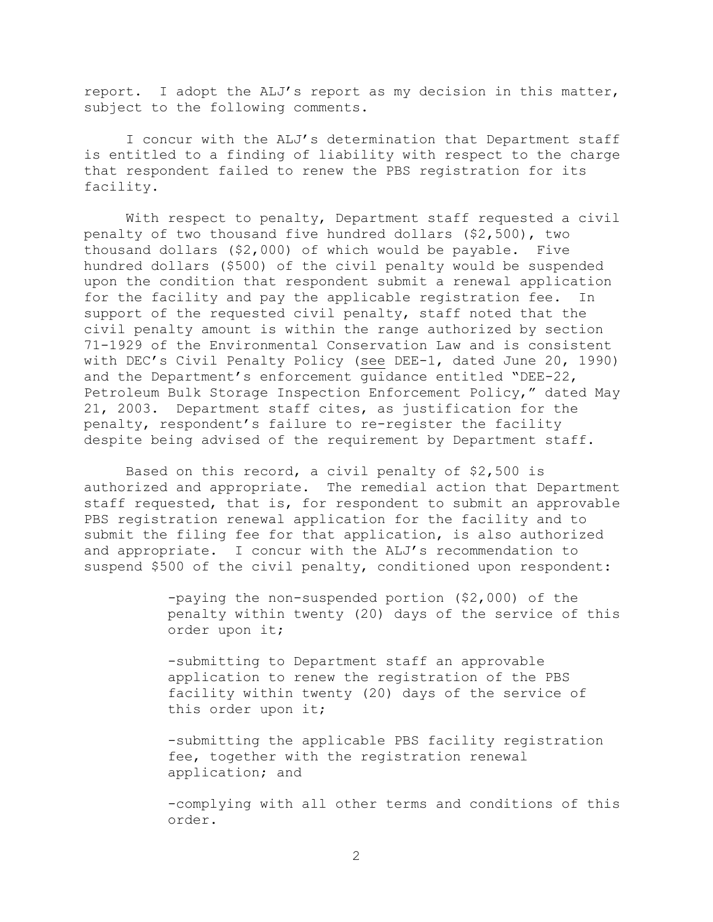report. I adopt the ALJ's report as my decision in this matter, subject to the following comments.

I concur with the ALJ's determination that Department staff is entitled to a finding of liability with respect to the charge that respondent failed to renew the PBS registration for its facility.

With respect to penalty, Department staff requested a civil penalty of two thousand five hundred dollars (\$2,500), two thousand dollars (\$2,000) of which would be payable. Five hundred dollars (\$500) of the civil penalty would be suspended upon the condition that respondent submit a renewal application for the facility and pay the applicable registration fee. In support of the requested civil penalty, staff noted that the civil penalty amount is within the range authorized by section 71-1929 of the Environmental Conservation Law and is consistent with DEC's Civil Penalty Policy (see DEE-1, dated June 20, 1990) and the Department's enforcement guidance entitled "DEE-22, Petroleum Bulk Storage Inspection Enforcement Policy," dated May 21, 2003. Department staff cites, as justification for the penalty, respondent's failure to re-register the facility despite being advised of the requirement by Department staff.

Based on this record, a civil penalty of \$2,500 is authorized and appropriate. The remedial action that Department staff requested, that is, for respondent to submit an approvable PBS registration renewal application for the facility and to submit the filing fee for that application, is also authorized and appropriate. I concur with the ALJ's recommendation to suspend \$500 of the civil penalty, conditioned upon respondent:

> -paying the non-suspended portion (\$2,000) of the penalty within twenty (20) days of the service of this order upon it;

-submitting to Department staff an approvable application to renew the registration of the PBS facility within twenty (20) days of the service of this order upon it;

-submitting the applicable PBS facility registration fee, together with the registration renewal application; and

-complying with all other terms and conditions of this order.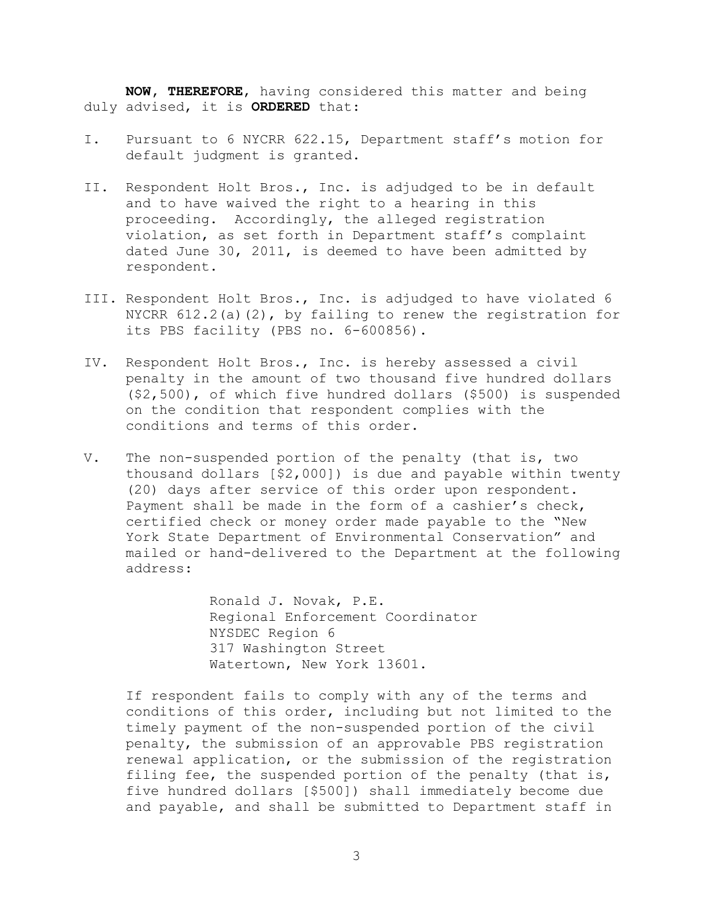**NOW, THEREFORE**, having considered this matter and being duly advised, it is **ORDERED** that:

- I. Pursuant to 6 NYCRR 622.15, Department staff's motion for default judgment is granted.
- II. Respondent Holt Bros., Inc. is adjudged to be in default and to have waived the right to a hearing in this proceeding. Accordingly, the alleged registration violation, as set forth in Department staff's complaint dated June 30, 2011, is deemed to have been admitted by respondent.
- III. Respondent Holt Bros., Inc. is adjudged to have violated 6 NYCRR 612.2(a)(2), by failing to renew the registration for its PBS facility (PBS no. 6-600856).
- IV. Respondent Holt Bros., Inc. is hereby assessed a civil penalty in the amount of two thousand five hundred dollars (\$2,500), of which five hundred dollars (\$500) is suspended on the condition that respondent complies with the conditions and terms of this order.
- V. The non-suspended portion of the penalty (that is, two thousand dollars [\$2,000]) is due and payable within twenty (20) days after service of this order upon respondent. Payment shall be made in the form of a cashier's check, certified check or money order made payable to the "New York State Department of Environmental Conservation" and mailed or hand-delivered to the Department at the following address:

Ronald J. Novak, P.E. Regional Enforcement Coordinator NYSDEC Region 6 317 Washington Street Watertown, New York 13601.

If respondent fails to comply with any of the terms and conditions of this order, including but not limited to the timely payment of the non-suspended portion of the civil penalty, the submission of an approvable PBS registration renewal application, or the submission of the registration filing fee, the suspended portion of the penalty (that is, five hundred dollars [\$500]) shall immediately become due and payable, and shall be submitted to Department staff in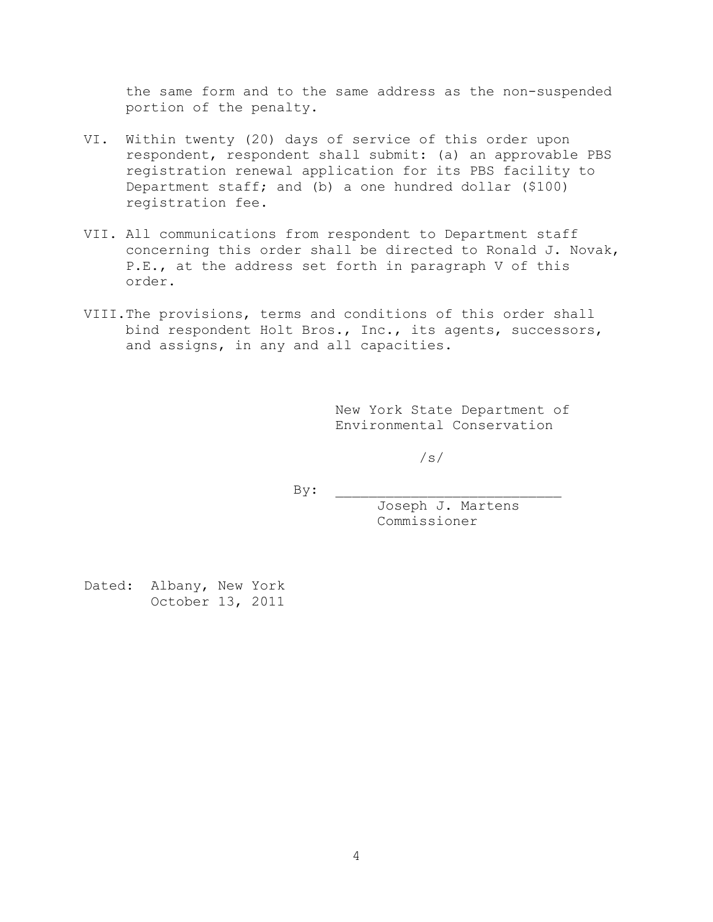the same form and to the same address as the non-suspended portion of the penalty.

- VI. Within twenty (20) days of service of this order upon respondent, respondent shall submit: (a) an approvable PBS registration renewal application for its PBS facility to Department staff; and (b) a one hundred dollar (\$100) registration fee.
- VII. All communications from respondent to Department staff concerning this order shall be directed to Ronald J. Novak, P.E., at the address set forth in paragraph V of this order.
- VIII.The provisions, terms and conditions of this order shall bind respondent Holt Bros., Inc., its agents, successors, and assigns, in any and all capacities.

New York State Department of Environmental Conservation

/s/

 $By:$ 

Joseph J. Martens Commissioner

Dated: Albany, New York October 13, 2011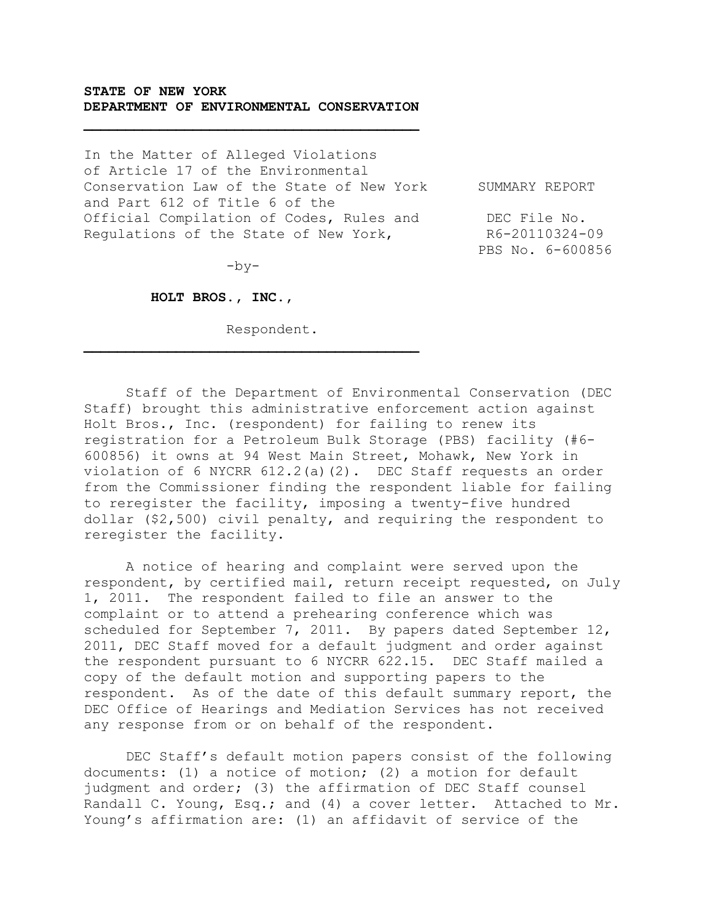## **STATE OF NEW YORK DEPARTMENT OF ENVIRONMENTAL CONSERVATION**

In the Matter of Alleged Violations of Article 17 of the Environmental Conservation Law of the State of New York SUMMARY REPORT and Part 612 of Title 6 of the Official Compilation of Codes, Rules and DEC File No. Regulations of the State of New York, R6-20110324-09

PBS No. 6-600856

 $-by-$ 

 **HOLT BROS., INC.,**

Respondent.

 $\mathcal{L} = \{ \mathcal{L} \}$ 

Staff of the Department of Environmental Conservation (DEC Staff) brought this administrative enforcement action against Holt Bros., Inc. (respondent) for failing to renew its registration for a Petroleum Bulk Storage (PBS) facility (#6- 600856) it owns at 94 West Main Street, Mohawk, New York in violation of 6 NYCRR 612.2(a)(2). DEC Staff requests an order from the Commissioner finding the respondent liable for failing to reregister the facility, imposing a twenty-five hundred dollar (\$2,500) civil penalty, and requiring the respondent to reregister the facility.

A notice of hearing and complaint were served upon the respondent, by certified mail, return receipt requested, on July 1, 2011. The respondent failed to file an answer to the complaint or to attend a prehearing conference which was scheduled for September 7, 2011. By papers dated September 12, 2011, DEC Staff moved for a default judgment and order against the respondent pursuant to 6 NYCRR 622.15. DEC Staff mailed a copy of the default motion and supporting papers to the respondent. As of the date of this default summary report, the DEC Office of Hearings and Mediation Services has not received any response from or on behalf of the respondent.

DEC Staff's default motion papers consist of the following documents: (1) a notice of motion; (2) a motion for default judgment and order; (3) the affirmation of DEC Staff counsel Randall C. Young, Esq.; and (4) a cover letter. Attached to Mr. Young's affirmation are: (1) an affidavit of service of the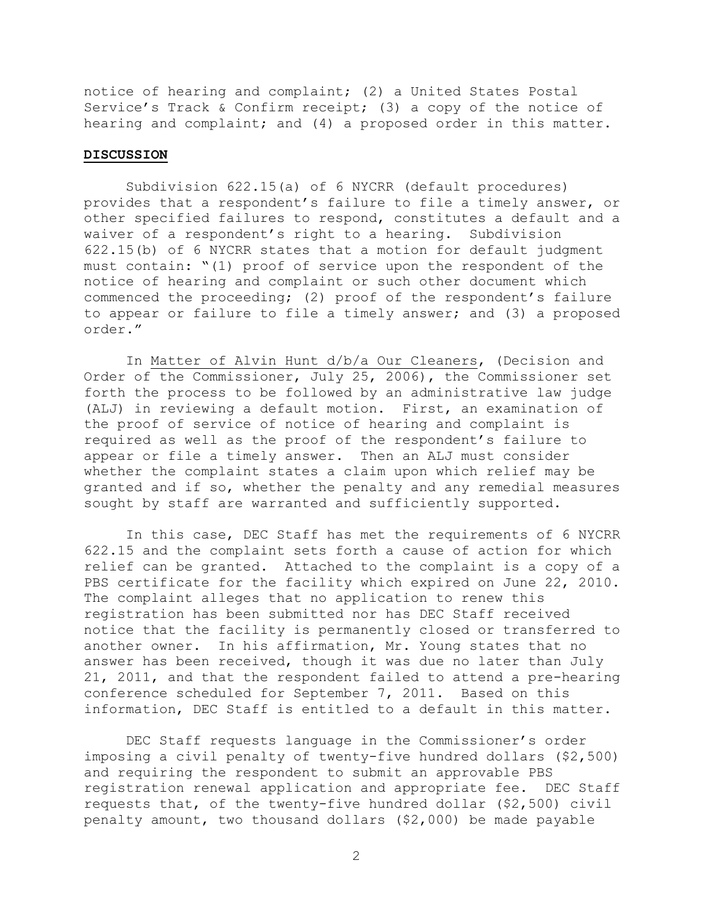notice of hearing and complaint; (2) a United States Postal Service's Track & Confirm receipt; (3) a copy of the notice of hearing and complaint; and (4) a proposed order in this matter.

## **DISCUSSION**

Subdivision 622.15(a) of 6 NYCRR (default procedures) provides that a respondent's failure to file a timely answer, or other specified failures to respond, constitutes a default and a waiver of a respondent's right to a hearing. Subdivision 622.15(b) of 6 NYCRR states that a motion for default judgment must contain: "(1) proof of service upon the respondent of the notice of hearing and complaint or such other document which commenced the proceeding; (2) proof of the respondent's failure to appear or failure to file a timely answer; and (3) a proposed order."

In Matter of Alvin Hunt d/b/a Our Cleaners, (Decision and Order of the Commissioner, July 25, 2006), the Commissioner set forth the process to be followed by an administrative law judge (ALJ) in reviewing a default motion. First, an examination of the proof of service of notice of hearing and complaint is required as well as the proof of the respondent's failure to appear or file a timely answer. Then an ALJ must consider whether the complaint states a claim upon which relief may be granted and if so, whether the penalty and any remedial measures sought by staff are warranted and sufficiently supported.

In this case, DEC Staff has met the requirements of 6 NYCRR 622.15 and the complaint sets forth a cause of action for which relief can be granted. Attached to the complaint is a copy of a PBS certificate for the facility which expired on June 22, 2010. The complaint alleges that no application to renew this registration has been submitted nor has DEC Staff received notice that the facility is permanently closed or transferred to another owner. In his affirmation, Mr. Young states that no answer has been received, though it was due no later than July 21, 2011, and that the respondent failed to attend a pre-hearing conference scheduled for September 7, 2011. Based on this information, DEC Staff is entitled to a default in this matter.

DEC Staff requests language in the Commissioner's order imposing a civil penalty of twenty-five hundred dollars (\$2,500) and requiring the respondent to submit an approvable PBS registration renewal application and appropriate fee. DEC Staff requests that, of the twenty-five hundred dollar (\$2,500) civil penalty amount, two thousand dollars (\$2,000) be made payable

2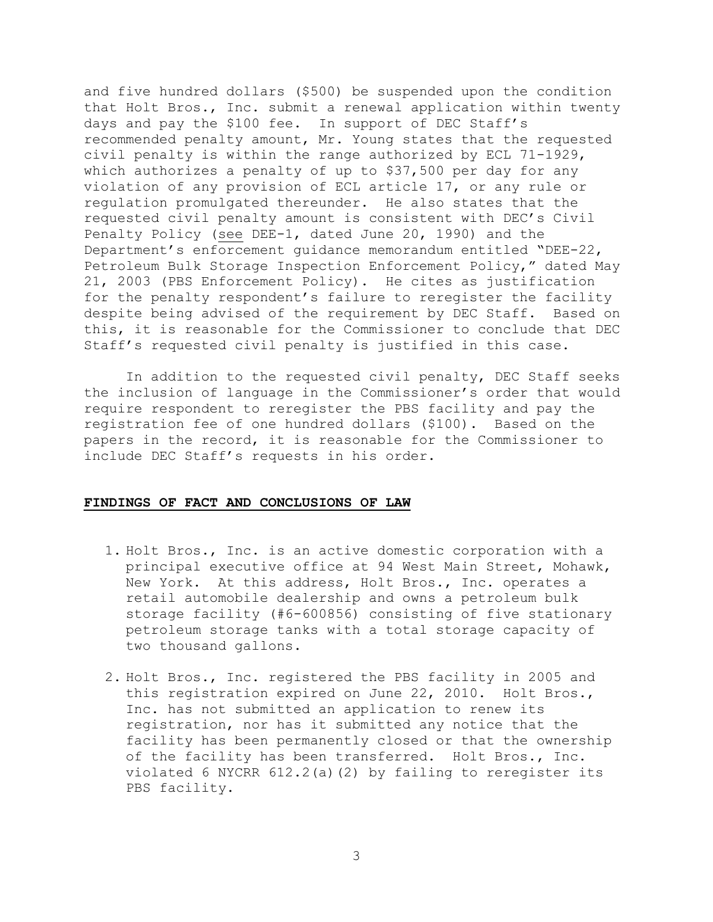and five hundred dollars (\$500) be suspended upon the condition that Holt Bros., Inc. submit a renewal application within twenty days and pay the \$100 fee. In support of DEC Staff's recommended penalty amount, Mr. Young states that the requested civil penalty is within the range authorized by ECL 71-1929, which authorizes a penalty of up to \$37,500 per day for any violation of any provision of ECL article 17, or any rule or regulation promulgated thereunder. He also states that the requested civil penalty amount is consistent with DEC's Civil Penalty Policy (see DEE-1, dated June 20, 1990) and the Department's enforcement guidance memorandum entitled "DEE-22, Petroleum Bulk Storage Inspection Enforcement Policy," dated May 21, 2003 (PBS Enforcement Policy). He cites as justification for the penalty respondent's failure to reregister the facility despite being advised of the requirement by DEC Staff. Based on this, it is reasonable for the Commissioner to conclude that DEC Staff's requested civil penalty is justified in this case.

In addition to the requested civil penalty, DEC Staff seeks the inclusion of language in the Commissioner's order that would require respondent to reregister the PBS facility and pay the registration fee of one hundred dollars (\$100). Based on the papers in the record, it is reasonable for the Commissioner to include DEC Staff's requests in his order.

## **FINDINGS OF FACT AND CONCLUSIONS OF LAW**

- 1. Holt Bros., Inc. is an active domestic corporation with a principal executive office at 94 West Main Street, Mohawk, New York. At this address, Holt Bros., Inc. operates a retail automobile dealership and owns a petroleum bulk storage facility (#6-600856) consisting of five stationary petroleum storage tanks with a total storage capacity of two thousand gallons.
- 2. Holt Bros., Inc. registered the PBS facility in 2005 and this registration expired on June 22, 2010. Holt Bros., Inc. has not submitted an application to renew its registration, nor has it submitted any notice that the facility has been permanently closed or that the ownership of the facility has been transferred. Holt Bros., Inc. violated 6 NYCRR  $612.2$ (a)(2) by failing to reregister its PBS facility.